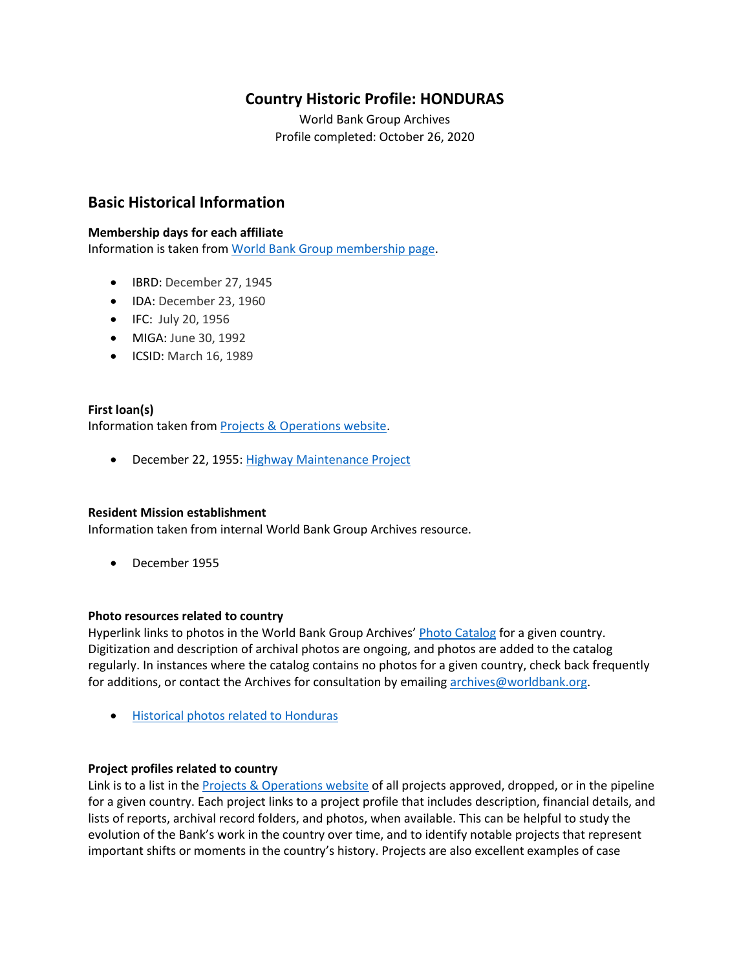## **Country Historic Profile: HONDURAS**

World Bank Group Archives Profile completed: October 26, 2020

## **Basic Historical Information**

#### **Membership days for each affiliate**

Information is taken from [World Bank Group membership page.](https://www.worldbank.org/en/about/leadership/members#1)

- IBRD: December 27, 1945
- IDA: December 23, 1960
- IFC: July 20, 1956
- MIGA: June 30, 1992
- ICSID: March 16, 1989

#### **First loan(s)** Information taken from [Projects & Operations website.](https://projects.worldbank.org/)

• December 22, 1955: [Highway Maintenance Project](https://projects.worldbank.org/en/projects-operations/project-detail/P007331)

#### **Resident Mission establishment**

Information taken from internal World Bank Group Archives resource.

• December 1955

#### **Photo resources related to country**

Hyperlink links to photos in the World Bank Group Archives' [Photo Catalog](https://archivesphotos.worldbank.org/en/about/archives/photo-gallery) for a given country. Digitization and description of archival photos are ongoing, and photos are added to the catalog regularly. In instances where the catalog contains no photos for a given country, check back frequently for additions, or contact the Archives for consultation by emailin[g archives@worldbank.org.](mailto:archives@worldbank.org)

• [Historical photos related to Honduras](https://archivesphotos.worldbank.org/en/about/archives/photo-gallery/photo-gallery-landing?qterm=honduras&wbg_country=Honduras)

#### **Project profiles related to country**

Link is to a list in the **Projects & Operations website** of all projects approved, dropped, or in the pipeline for a given country. Each project links to a project profile that includes description, financial details, and lists of reports, archival record folders, and photos, when available. This can be helpful to study the evolution of the Bank's work in the country over time, and to identify notable projects that represent important shifts or moments in the country's history. Projects are also excellent examples of case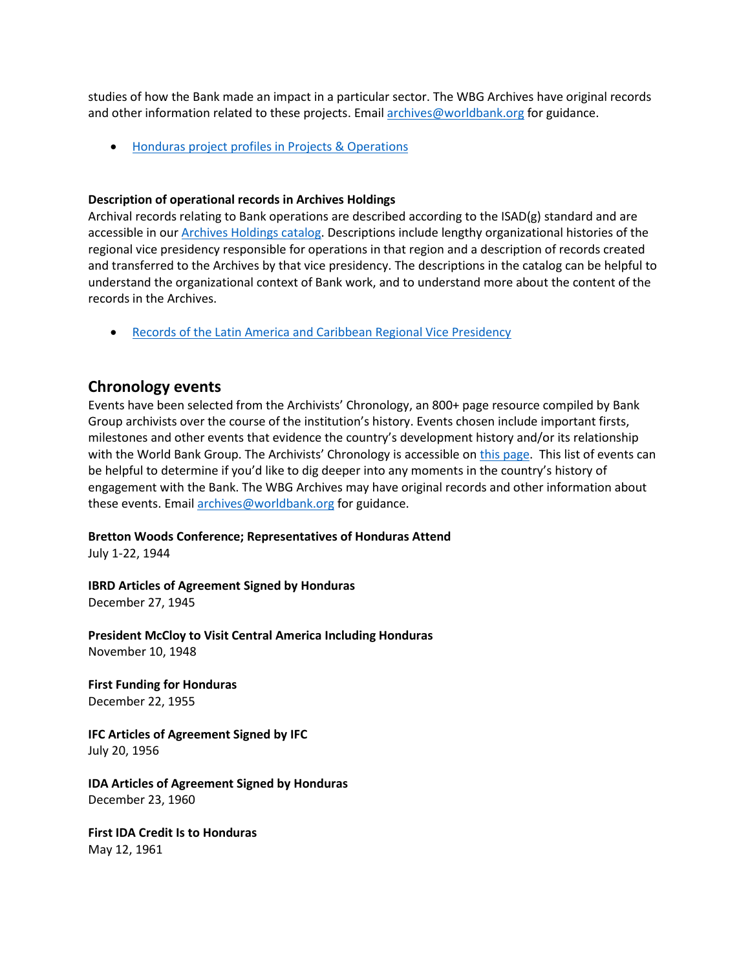studies of how the Bank made an impact in a particular sector. The WBG Archives have original records and other information related to these projects. Email [archives@worldbank.org](mailto:archives@worldbank.org) for guidance.

• [Honduras project profiles in Projects & Operations](https://projects.worldbank.org/en/projects-operations/projects-summary?countrycode_exact=HN)

#### **Description of operational records in Archives Holdings**

Archival records relating to Bank operations are described according to the ISAD(g) standard and are accessible in our [Archives Holdings catalog.](https://archivesholdings.worldbank.org/) Descriptions include lengthy organizational histories of the regional vice presidency responsible for operations in that region and a description of records created and transferred to the Archives by that vice presidency. The descriptions in the catalog can be helpful to understand the organizational context of Bank work, and to understand more about the content of the records in the Archives.

• [Records of the Latin America and Caribbean Regional Vice Presidency](https://archivesholdings.worldbank.org/records-of-latin-america-and-caribbean-regional-vice-presidency)

## **Chronology events**

Events have been selected from the Archivists' Chronology, an 800+ page resource compiled by Bank Group archivists over the course of the institution's history. Events chosen include important firsts, milestones and other events that evidence the country's development history and/or its relationship with the World Bank Group. The Archivists' Chronology is accessible on [this page.](https://www.worldbank.org/en/about/archives/history/timeline) This list of events can be helpful to determine if you'd like to dig deeper into any moments in the country's history of engagement with the Bank. The WBG Archives may have original records and other information about these events. Email [archives@worldbank.org](mailto:archives@worldbank.org) for guidance.

#### **Bretton Woods Conference; Representatives of Honduras Attend**

July 1-22, 1944

**IBRD Articles of Agreement Signed by Honduras** December 27, 1945

**President McCloy to Visit Central America Including Honduras** November 10, 1948

**First Funding for Honduras** December 22, 1955

**IFC Articles of Agreement Signed by IFC** July 20, 1956

**IDA Articles of Agreement Signed by Honduras** December 23, 1960

**First IDA Credit Is to Honduras** May 12, 1961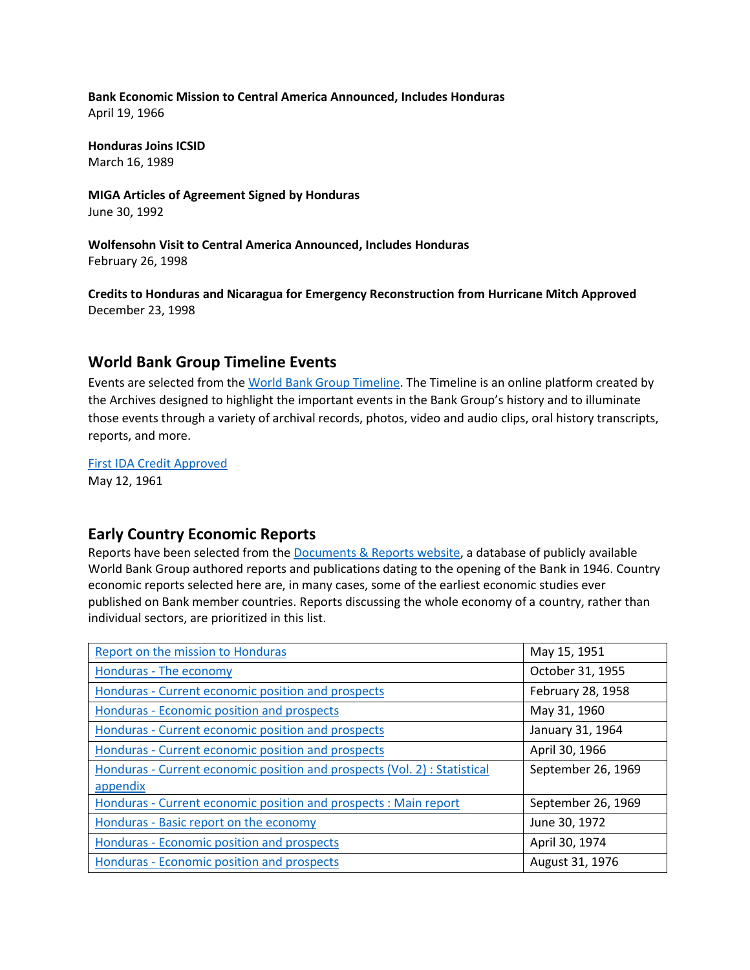**Bank Economic Mission to Central America Announced, Includes Honduras** April 19, 1966

**Honduras Joins ICSID** March 16, 1989

**MIGA Articles of Agreement Signed by Honduras** June 30, 1992

**Wolfensohn Visit to Central America Announced, Includes Honduras** February 26, 1998

**Credits to Honduras and Nicaragua for Emergency Reconstruction from Hurricane Mitch Approved** December 23, 1998

## **World Bank Group Timeline Events**

Events are selected from th[e World Bank Group Timeline.](https://timeline.worldbank.org/#event-bretton-woods-conference-begins) The Timeline is an online platform created by the Archives designed to highlight the important events in the Bank Group's history and to illuminate those events through a variety of archival records, photos, video and audio clips, oral history transcripts, reports, and more.

[First IDA Credit Approved](https://timeline.worldbank.org/?field_timeline_target_id=All&combine=honduras#event-first-ida-credit-approved) May 12, 1961

## **Early Country Economic Reports**

Reports have been selected from the [Documents & Reports website,](https://documents.worldbank.org/) a database of publicly available World Bank Group authored reports and publications dating to the opening of the Bank in 1946. Country economic reports selected here are, in many cases, some of the earliest economic studies ever published on Bank member countries. Reports discussing the whole economy of a country, rather than individual sectors, are prioritized in this list.

| Report on the mission to Honduras                                         | May 15, 1951       |
|---------------------------------------------------------------------------|--------------------|
| Honduras - The economy                                                    | October 31, 1955   |
| Honduras - Current economic position and prospects                        | February 28, 1958  |
| Honduras - Economic position and prospects                                | May 31, 1960       |
| Honduras - Current economic position and prospects                        | January 31, 1964   |
| Honduras - Current economic position and prospects                        | April 30, 1966     |
| Honduras - Current economic position and prospects (Vol. 2) : Statistical | September 26, 1969 |
| appendix                                                                  |                    |
| Honduras - Current economic position and prospects : Main report          | September 26, 1969 |
| Honduras - Basic report on the economy                                    | June 30, 1972      |
| Honduras - Economic position and prospects                                | April 30, 1974     |
| Honduras - Economic position and prospects                                | August 31, 1976    |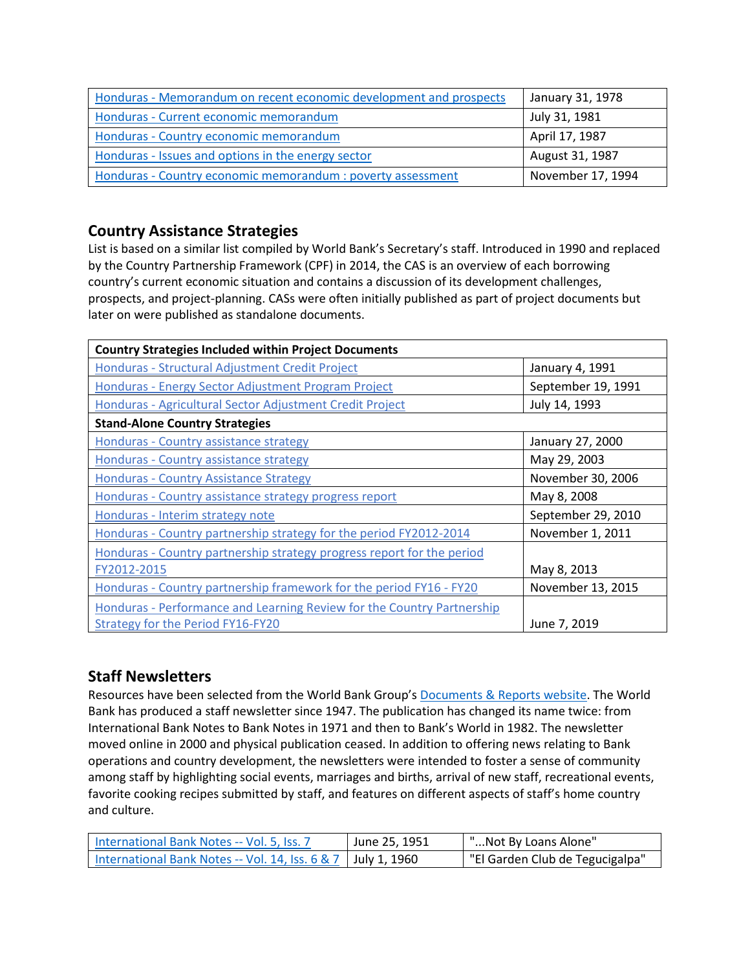| Honduras - Memorandum on recent economic development and prospects | January 31, 1978  |
|--------------------------------------------------------------------|-------------------|
| Honduras - Current economic memorandum                             | July 31, 1981     |
| Honduras - Country economic memorandum                             | April 17, 1987    |
| Honduras - Issues and options in the energy sector                 | August 31, 1987   |
| Honduras - Country economic memorandum : poverty assessment        | November 17, 1994 |

# **Country Assistance Strategies**

List is based on a similar list compiled by World Bank's Secretary's staff. Introduced in 1990 and replaced by the Country Partnership Framework (CPF) in 2014, the CAS is an overview of each borrowing country's current economic situation and contains a discussion of its development challenges, prospects, and project-planning. CASs were often initially published as part of project documents but later on were published as standalone documents.

| <b>Country Strategies Included within Project Documents</b>            |                    |
|------------------------------------------------------------------------|--------------------|
| Honduras - Structural Adjustment Credit Project                        | January 4, 1991    |
| Honduras - Energy Sector Adjustment Program Project                    | September 19, 1991 |
| Honduras - Agricultural Sector Adjustment Credit Project               | July 14, 1993      |
| <b>Stand-Alone Country Strategies</b>                                  |                    |
| Honduras - Country assistance strategy                                 | January 27, 2000   |
| Honduras - Country assistance strategy                                 | May 29, 2003       |
| <b>Honduras - Country Assistance Strategy</b>                          | November 30, 2006  |
| Honduras - Country assistance strategy progress report                 | May 8, 2008        |
| Honduras - Interim strategy note                                       | September 29, 2010 |
| Honduras - Country partnership strategy for the period FY2012-2014     | November 1, 2011   |
| Honduras - Country partnership strategy progress report for the period |                    |
| FY2012-2015                                                            | May 8, 2013        |
| Honduras - Country partnership framework for the period FY16 - FY20    | November 13, 2015  |
| Honduras - Performance and Learning Review for the Country Partnership |                    |
| Strategy for the Period FY16-FY20                                      | June 7, 2019       |

## **Staff Newsletters**

Resources have been selected from the World Bank Group's [Documents & Reports website.](https://documents.worldbank.org/) The World Bank has produced a staff newsletter since 1947. The publication has changed its name twice: from International Bank Notes to Bank Notes in 1971 and then to Bank's World in 1982. The newsletter moved online in 2000 and physical publication ceased. In addition to offering news relating to Bank operations and country development, the newsletters were intended to foster a sense of community among staff by highlighting social events, marriages and births, arrival of new staff, recreational events, favorite cooking recipes submitted by staff, and features on different aspects of staff's home country and culture.

| International Bank Notes -- Vol. 5, Iss. 7                     | June 25, 1951 | "Not By Loans Alone"            |
|----------------------------------------------------------------|---------------|---------------------------------|
| International Bank Notes -- Vol. 14, Iss. $6 & 7$ July 1, 1960 |               | "El Garden Club de Tegucigalpa" |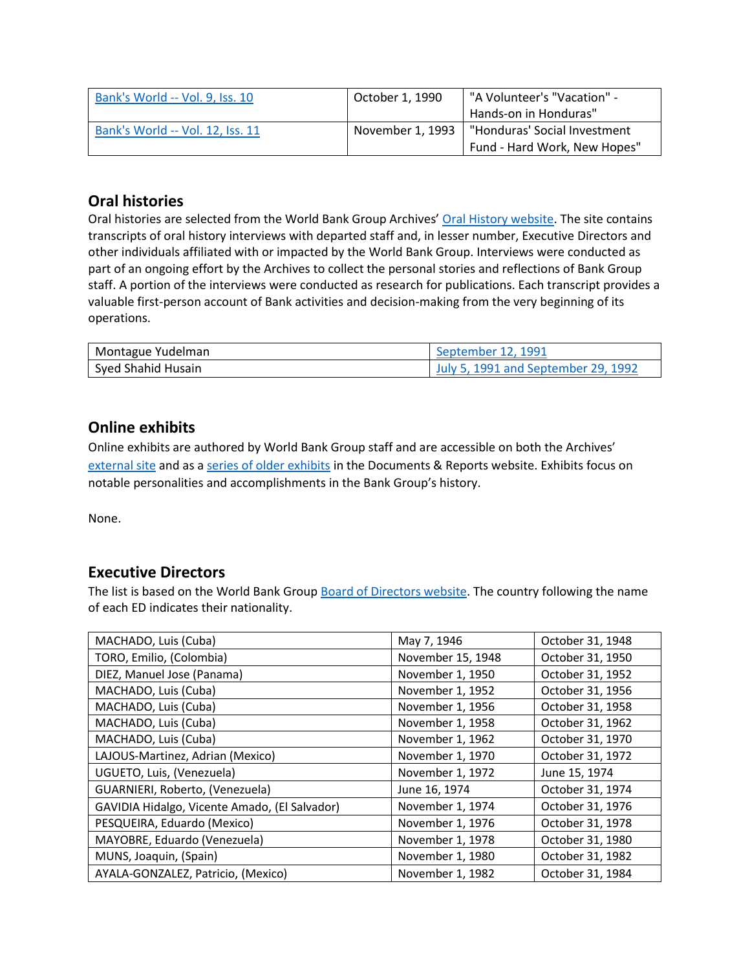| Bank's World -- Vol. 9, Iss. 10  | October 1. 1990  | "A Volunteer's "Vacation" -  |  |
|----------------------------------|------------------|------------------------------|--|
|                                  |                  | Hands-on in Honduras"        |  |
| Bank's World -- Vol. 12, Iss. 11 | November 1. 1993 | "Honduras' Social Investment |  |
|                                  |                  | Fund - Hard Work, New Hopes" |  |

# **Oral histories**

Oral histories are selected from the World Bank Group Archives' [Oral History website.](https://oralhistory.worldbank.org/) The site contains transcripts of oral history interviews with departed staff and, in lesser number, Executive Directors and other individuals affiliated with or impacted by the World Bank Group. Interviews were conducted as part of an ongoing effort by the Archives to collect the personal stories and reflections of Bank Group staff. A portion of the interviews were conducted as research for publications. Each transcript provides a valuable first-person account of Bank activities and decision-making from the very beginning of its operations.

| Montague Yudelman  | September 12, 1991                  |
|--------------------|-------------------------------------|
| Sved Shahid Husain | July 5, 1991 and September 29, 1992 |

## **Online exhibits**

Online exhibits are authored by World Bank Group staff and are accessible on both the Archives' [external site](https://www.worldbank.org/en/about/archives/history/exhibits) and as a [series of older exhibits](https://documents.worldbank.org/en/publication/documents-reports/documentlist?colti=World%20Bank%20Group%20Archives%20exhibit%20series) in the Documents & Reports website. Exhibits focus on notable personalities and accomplishments in the Bank Group's history.

None.

## **Executive Directors**

The list is based on the World Bank Group [Board of Directors website.](https://worldbankgroup.sharepoint.com/sites/wbsites/ExecutiveBoard/Pages/pc/About-the-Boards-05222019-155532/List-of-Executi-05222019-155839.aspx) The country following the name of each ED indicates their nationality.

| MACHADO, Luis (Cuba)                          | May 7, 1946       | October 31, 1948 |
|-----------------------------------------------|-------------------|------------------|
| TORO, Emilio, (Colombia)                      | November 15, 1948 | October 31, 1950 |
| DIEZ, Manuel Jose (Panama)                    | November 1, 1950  | October 31, 1952 |
| MACHADO, Luis (Cuba)                          | November 1, 1952  | October 31, 1956 |
| MACHADO, Luis (Cuba)                          | November 1, 1956  | October 31, 1958 |
| MACHADO, Luis (Cuba)                          | November 1, 1958  | October 31, 1962 |
| MACHADO, Luis (Cuba)                          | November 1, 1962  | October 31, 1970 |
| LAJOUS-Martinez, Adrian (Mexico)              | November 1, 1970  | October 31, 1972 |
| UGUETO, Luis, (Venezuela)                     | November 1, 1972  | June 15, 1974    |
| GUARNIERI, Roberto, (Venezuela)               | June 16, 1974     | October 31, 1974 |
| GAVIDIA Hidalgo, Vicente Amado, (El Salvador) | November 1, 1974  | October 31, 1976 |
| PESQUEIRA, Eduardo (Mexico)                   | November 1, 1976  | October 31, 1978 |
| MAYOBRE, Eduardo (Venezuela)                  | November 1, 1978  | October 31, 1980 |
| MUNS, Joaquin, (Spain)                        | November 1, 1980  | October 31, 1982 |
| AYALA-GONZALEZ, Patricio, (Mexico)            | November 1, 1982  | October 31, 1984 |